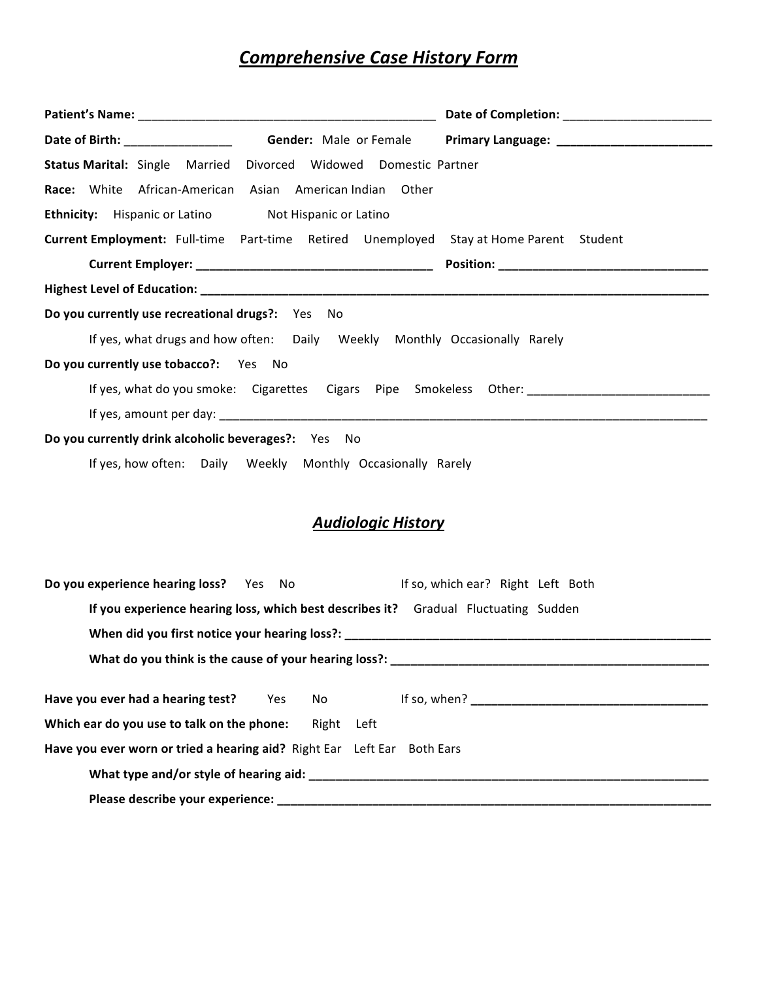# **Comprehensive Case History Form**

|                                                             | <b>Status Marital:</b> Single Married Divorced Widowed Domestic Partner                |
|-------------------------------------------------------------|----------------------------------------------------------------------------------------|
|                                                             | Race: White African-American Asian American Indian Other                               |
| <b>Ethnicity:</b> Hispanic or Latino Not Hispanic or Latino |                                                                                        |
|                                                             | Current Employment: Full-time Part-time Retired Unemployed Stay at Home Parent Student |
|                                                             | Position: ___________________________________                                          |
|                                                             |                                                                                        |
| Do you currently use recreational drugs?: Yes No            |                                                                                        |
|                                                             | If yes, what drugs and how often: Daily Weekly Monthly Occasionally Rarely             |
| Do you currently use tobacco?: Yes No                       |                                                                                        |
|                                                             |                                                                                        |
|                                                             |                                                                                        |
| Do you currently drink alcoholic beverages?: Yes No         |                                                                                        |
|                                                             | If yes, how often: Daily Weekly Monthly Occasionally Rarely                            |

## **Audiologic History**

| <b>Do you experience hearing loss?</b> Yes No                                       | If so, which ear? Right Left Both                                                                                                                                                                                              |
|-------------------------------------------------------------------------------------|--------------------------------------------------------------------------------------------------------------------------------------------------------------------------------------------------------------------------------|
| If you experience hearing loss, which best describes it? Gradual Fluctuating Sudden |                                                                                                                                                                                                                                |
|                                                                                     |                                                                                                                                                                                                                                |
|                                                                                     |                                                                                                                                                                                                                                |
|                                                                                     |                                                                                                                                                                                                                                |
| Which ear do you use to talk on the phone: Right Left                               |                                                                                                                                                                                                                                |
| Have you ever worn or tried a hearing aid? Right Ear Left Ear Both Ears             |                                                                                                                                                                                                                                |
|                                                                                     | What type and/or style of hearing aid: National Communication of the control of the control of the control of the control of the control of the control of the control of the control of the control of the control of the con |
|                                                                                     |                                                                                                                                                                                                                                |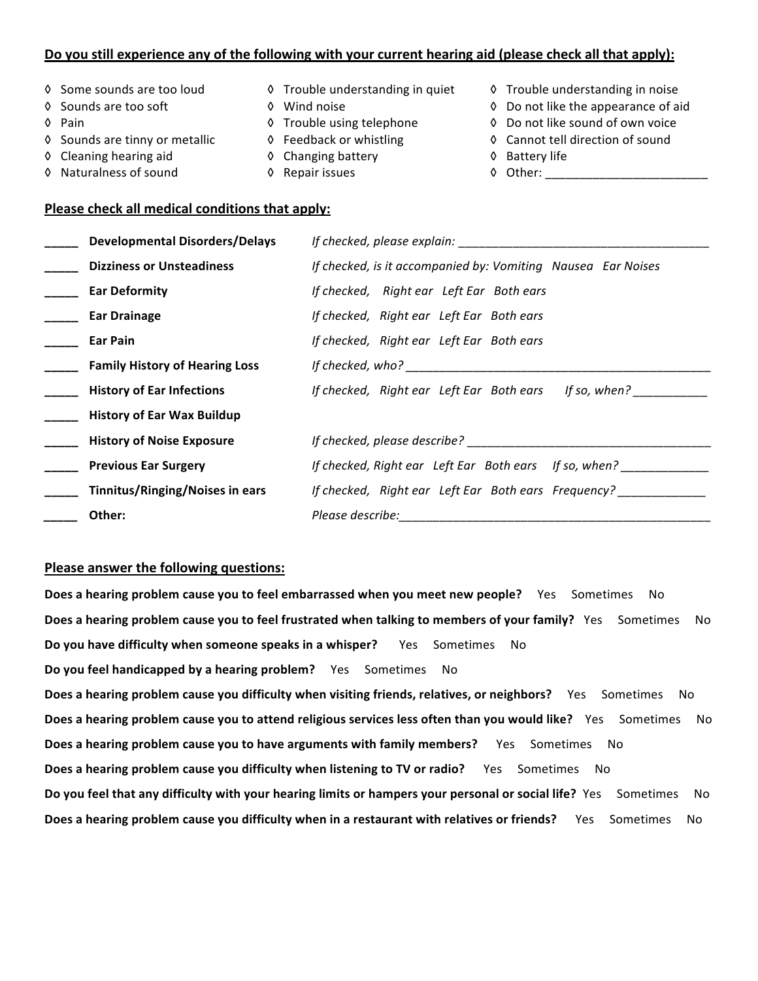### Do you still experience any of the following with your current hearing aid (please check all that apply):

- 
- 
- 
- 
- 
- 
- 
- 
- 
- ◊ Cleaning hearing aid O Changing battery O Battery life
	-
- ◊"""Some"sounds"are"too"loud ◊"""Trouble"understanding"in"quiet ◊"""Trouble"understanding"in"noise
- ◊"""Sounds"are"too"soft """" ◊"""Wind"noise ◊"""Do"not"like"the"appearance"of"aid
- ◊"""Pain ◊"""Trouble"using"telephone ◊"""Do"not"like"sound"of"own"voice
- ◊ Sounds are tinny or metallic O Feedback or whistling Cannot tell direction of sound
	-
	-
- ◊"""Naturalness"of"sound ◊"""Repair"issues ◊"""Other:"\_\_\_\_\_\_\_\_\_\_\_\_\_\_\_\_\_\_\_\_\_\_\_\_

### Please check all medical conditions that apply:

| <b>Developmental Disorders/Delays</b> | If checked, please explain:                                  |
|---------------------------------------|--------------------------------------------------------------|
| <b>Dizziness or Unsteadiness</b>      | If checked, is it accompanied by: Vomiting Nausea Ear Noises |
| <b>Ear Deformity</b>                  | If checked, Right ear Left Ear Both ears                     |
| <b>Ear Drainage</b>                   | If checked, Right ear Left Ear Both ears                     |
| Ear Pain                              | If checked, Right ear Left Ear Both ears                     |
| <b>Family History of Hearing Loss</b> | If checked, $who?$                                           |
| <b>History of Ear Infections</b>      | If checked, Right ear Left Ear Both ears If so, when?        |
| <b>History of Ear Wax Buildup</b>     |                                                              |
| <b>History of Noise Exposure</b>      | If checked, please describe?                                 |
| <b>Previous Ear Surgery</b>           | If checked, Right ear Left Ear Both ears If so, when?        |
| Tinnitus/Ringing/Noises in ears       | If checked, Right ear Left Ear Both ears Frequency?          |
| Other:                                | Please describe:                                             |

#### **Please answer the following questions:**

**Does a hearing problem cause you to feel embarrassed when you meet new people?** Yes Sometimes No Does a hearing problem cause you to feel frustrated when talking to members of your family? Yes Sometimes No **Do you have difficulty when someone speaks in a whisper?** Yes Sometimes No **Do you feel handicapped by a hearing problem?** Yes Sometimes No **Does a hearing problem cause you difficulty when visiting friends, relatives, or neighbors?** Yes Sometimes No Does a hearing problem cause you to attend religious services less often than you would like? Yes Sometimes No **Does a hearing problem cause you to have arguments with family members?** Yes Sometimes No Does a hearing problem cause you difficulty when listening to TV or radio? Yes Sometimes No Do you feel that any difficulty with your hearing limits or hampers your personal or social life? Yes Sometimes No Does a hearing problem cause you difficulty when in a restaurant with relatives or friends? Yes Sometimes No